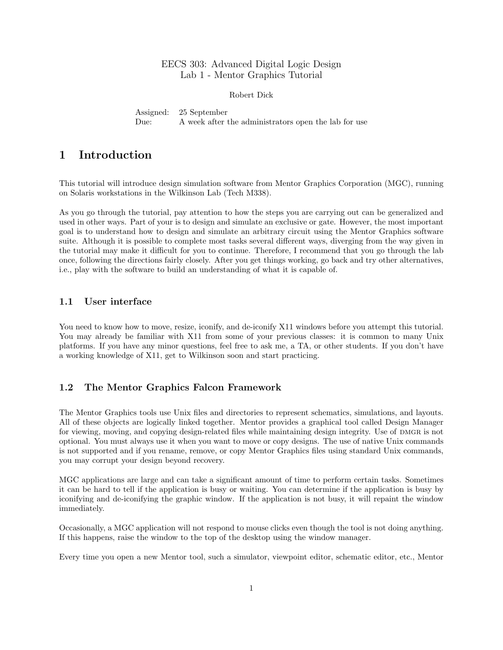## EECS 303: Advanced Digital Logic Design Lab 1 - Mentor Graphics Tutorial

Robert Dick

Assigned: 25 September Due: A week after the administrators open the lab for use

# 1 Introduction

This tutorial will introduce design simulation software from Mentor Graphics Corporation (MGC), running on Solaris workstations in the Wilkinson Lab (Tech M338).

As you go through the tutorial, pay attention to how the steps you are carrying out can be generalized and used in other ways. Part of your is to design and simulate an exclusive or gate. However, the most important goal is to understand how to design and simulate an arbitrary circuit using the Mentor Graphics software suite. Although it is possible to complete most tasks several different ways, diverging from the way given in the tutorial may make it difficult for you to continue. Therefore, I recommend that you go through the lab once, following the directions fairly closely. After you get things working, go back and try other alternatives, i.e., play with the software to build an understanding of what it is capable of.

## 1.1 User interface

You need to know how to move, resize, iconify, and de-iconify X11 windows before you attempt this tutorial. You may already be familiar with X11 from some of your previous classes: it is common to many Unix platforms. If you have any minor questions, feel free to ask me, a TA, or other students. If you don't have a working knowledge of X11, get to Wilkinson soon and start practicing.

## 1.2 The Mentor Graphics Falcon Framework

The Mentor Graphics tools use Unix files and directories to represent schematics, simulations, and layouts. All of these objects are logically linked together. Mentor provides a graphical tool called Design Manager for viewing, moving, and copying design-related files while maintaining design integrity. Use of DMGR is not optional. You must always use it when you want to move or copy designs. The use of native Unix commands is not supported and if you rename, remove, or copy Mentor Graphics files using standard Unix commands, you may corrupt your design beyond recovery.

MGC applications are large and can take a significant amount of time to perform certain tasks. Sometimes it can be hard to tell if the application is busy or waiting. You can determine if the application is busy by iconifying and de-iconifying the graphic window. If the application is not busy, it will repaint the window immediately.

Occasionally, a MGC application will not respond to mouse clicks even though the tool is not doing anything. If this happens, raise the window to the top of the desktop using the window manager.

Every time you open a new Mentor tool, such a simulator, viewpoint editor, schematic editor, etc., Mentor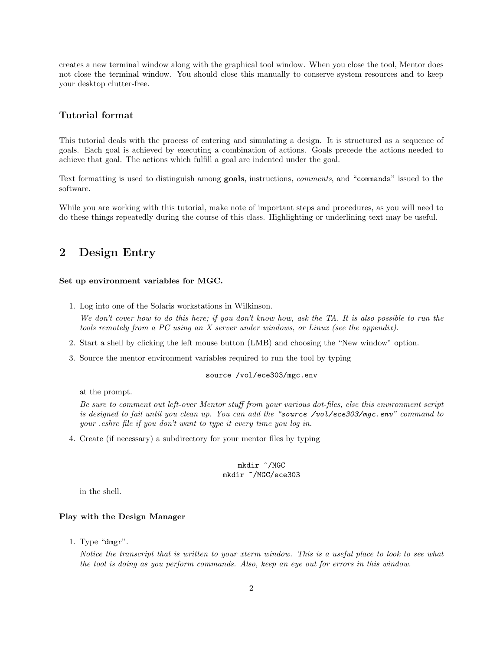creates a new terminal window along with the graphical tool window. When you close the tool, Mentor does not close the terminal window. You should close this manually to conserve system resources and to keep your desktop clutter-free.

## Tutorial format

This tutorial deals with the process of entering and simulating a design. It is structured as a sequence of goals. Each goal is achieved by executing a combination of actions. Goals precede the actions needed to achieve that goal. The actions which fulfill a goal are indented under the goal.

Text formatting is used to distinguish among goals, instructions, comments, and "commands" issued to the software.

While you are working with this tutorial, make note of important steps and procedures, as you will need to do these things repeatedly during the course of this class. Highlighting or underlining text may be useful.

# 2 Design Entry

## Set up environment variables for MGC.

1. Log into one of the Solaris workstations in Wilkinson.

We don't cover how to do this here; if you don't know how, ask the TA. It is also possible to run the tools remotely from a PC using an X server under windows, or Linux (see the appendix).

- 2. Start a shell by clicking the left mouse button (LMB) and choosing the "New window" option.
- 3. Source the mentor environment variables required to run the tool by typing

## source /vol/ece303/mgc.env

at the prompt.

Be sure to comment out left-over Mentor stuff from your various dot-files, else this environment script is designed to fail until you clean up. You can add the "source /vol/ece303/mqc.env" command to your .cshrc file if you don't want to type it every time you log in.

4. Create (if necessary) a subdirectory for your mentor files by typing

### mkdir ~/MGC mkdir ~/MGC/ece303

in the shell.

## Play with the Design Manager

1. Type "dmgr".

Notice the transcript that is written to your xterm window. This is a useful place to look to see what the tool is doing as you perform commands. Also, keep an eye out for errors in this window.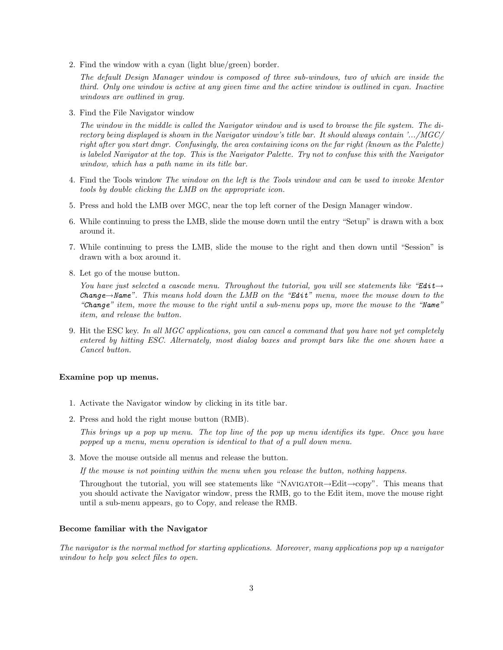2. Find the window with a cyan (light blue/green) border.

The default Design Manager window is composed of three sub-windows, two of which are inside the third. Only one window is active at any given time and the active window is outlined in cyan. Inactive windows are outlined in gray.

3. Find the File Navigator window

The window in the middle is called the Navigator window and is used to browse the file system. The directory being displayed is shown in the Navigator window's title bar. It should always contain '.../MGC/ right after you start dmgr. Confusingly, the area containing icons on the far right (known as the Palette) is labeled Navigator at the top. This is the Navigator Palette. Try not to confuse this with the Navigator window, which has a path name in its title bar.

- 4. Find the Tools window The window on the left is the Tools window and can be used to invoke Mentor tools by double clicking the LMB on the appropriate icon.
- 5. Press and hold the LMB over MGC, near the top left corner of the Design Manager window.
- 6. While continuing to press the LMB, slide the mouse down until the entry "Setup" is drawn with a box around it.
- 7. While continuing to press the LMB, slide the mouse to the right and then down until "Session" is drawn with a box around it.
- 8. Let go of the mouse button.

You have just selected a cascade menu. Throughout the tutorial, you will see statements like "Edit $\rightarrow$ Change $\rightarrow$ Name". This means hold down the LMB on the "Edit" menu, move the mouse down to the "Change" item, move the mouse to the right until a sub-menu pops up, move the mouse to the "Name" item, and release the button.

9. Hit the ESC key. In all MGC applications, you can cancel a command that you have not yet completely entered by hitting ESC. Alternately, most dialog boxes and prompt bars like the one shown have a Cancel button.

#### Examine pop up menus.

- 1. Activate the Navigator window by clicking in its title bar.
- 2. Press and hold the right mouse button (RMB).

This brings up a pop up menu. The top line of the pop up menu identifies its type. Once you have popped up a menu, menu operation is identical to that of a pull down menu.

3. Move the mouse outside all menus and release the button.

If the mouse is not pointing within the menu when you release the button, nothing happens.

Throughout the tutorial, you will see statements like "Navigator→Edit→copy". This means that you should activate the Navigator window, press the RMB, go to the Edit item, move the mouse right until a sub-menu appears, go to Copy, and release the RMB.

### Become familiar with the Navigator

The navigator is the normal method for starting applications. Moreover, many applications pop up a navigator window to help you select files to open.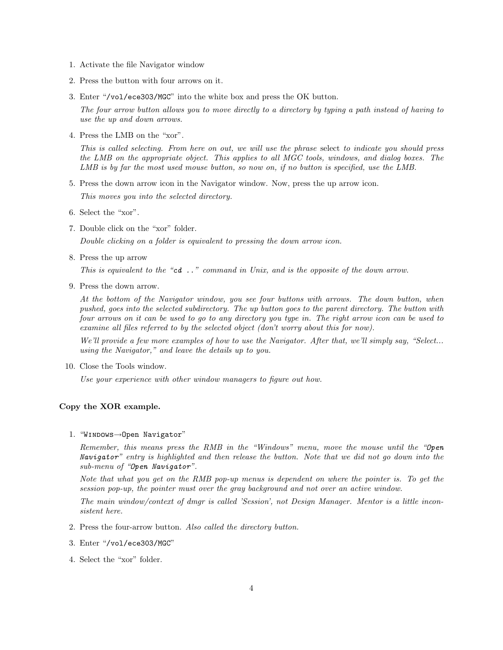- 1. Activate the file Navigator window
- 2. Press the button with four arrows on it.
- 3. Enter "/vol/ece303/MGC" into the white box and press the OK button.

The four arrow button allows you to move directly to a directory by typing a path instead of having to use the up and down arrows.

4. Press the LMB on the "xor".

This is called selecting. From here on out, we will use the phrase select to indicate you should press the LMB on the appropriate object. This applies to all MGC tools, windows, and dialog boxes. The LMB is by far the most used mouse button, so now on, if no button is specified, use the LMB.

5. Press the down arrow icon in the Navigator window. Now, press the up arrow icon.

This moves you into the selected directory.

- 6. Select the "xor".
- 7. Double click on the "xor" folder.

Double clicking on a folder is equivalent to pressing the down arrow icon.

8. Press the up arrow

This is equivalent to the "cd  $\ldots$ " command in Unix, and is the opposite of the down arrow.

9. Press the down arrow.

At the bottom of the Navigator window, you see four buttons with arrows. The down button, when pushed, goes into the selected subdirectory. The up button goes to the parent directory. The button with four arrows on it can be used to go to any directory you type in. The right arrow icon can be used to examine all files referred to by the selected object (don't worry about this for now).

We'll provide a few more examples of how to use the Navigator. After that, we'll simply say, "Select... using the Navigator," and leave the details up to you.

10. Close the Tools window.

Use your experience with other window managers to figure out how.

## Copy the XOR example.

1. "Windows→Open Navigator"

Remember, this means press the RMB in the "Windows" menu, move the mouse until the "Open Navigator" entry is highlighted and then release the button. Note that we did not go down into the sub-menu of "Open Navigator".

Note that what you get on the RMB pop-up menus is dependent on where the pointer is. To get the session pop-up, the pointer must over the gray background and not over an active window.

The main window/context of dmgr is called 'Session', not Design Manager. Mentor is a little inconsistent here.

- 2. Press the four-arrow button. Also called the directory button.
- 3. Enter "/vol/ece303/MGC"
- 4. Select the "xor" folder.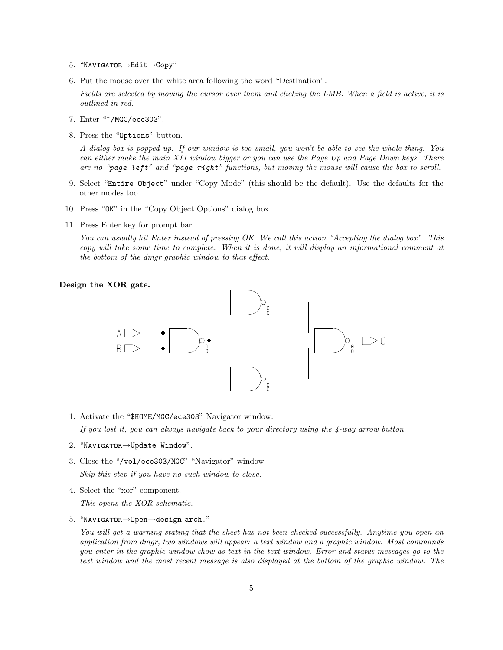- 5. "Navigator→Edit→Copy"
- 6. Put the mouse over the white area following the word "Destination".

Fields are selected by moving the cursor over them and clicking the LMB. When a field is active, it is outlined in red.

- 7. Enter "~/MGC/ece303".
- 8. Press the "Options" button.

A dialog box is popped up. If our window is too small, you won't be able to see the whole thing. You can either make the main X11 window bigger or you can use the Page Up and Page Down keys. There are no "page left" and "page right" functions, but moving the mouse will cause the box to scroll.

- 9. Select "Entire Object" under "Copy Mode" (this should be the default). Use the defaults for the other modes too.
- 10. Press "OK" in the "Copy Object Options" dialog box.
- 11. Press Enter key for prompt bar.

You can usually hit Enter instead of pressing OK. We call this action "Accepting the dialog box". This copy will take some time to complete. When it is done, it will display an informational comment at the bottom of the dmgr graphic window to that effect.

### Design the XOR gate.



1. Activate the "\$HOME/MGC/ece303" Navigator window.

If you lost it, you can always navigate back to your directory using the 4-way arrow button.

- 2. "Navigator→Update Window".
- 3. Close the "/vol/ece303/MGC" "Navigator" window Skip this step if you have no such window to close.
- 4. Select the "xor" component.

This opens the XOR schematic.

5. "Navigator→Open→design arch."

You will get a warning stating that the sheet has not been checked successfully. Anytime you open an application from dmgr, two windows will appear: a text window and a graphic window. Most commands you enter in the graphic window show as text in the text window. Error and status messages go to the text window and the most recent message is also displayed at the bottom of the graphic window. The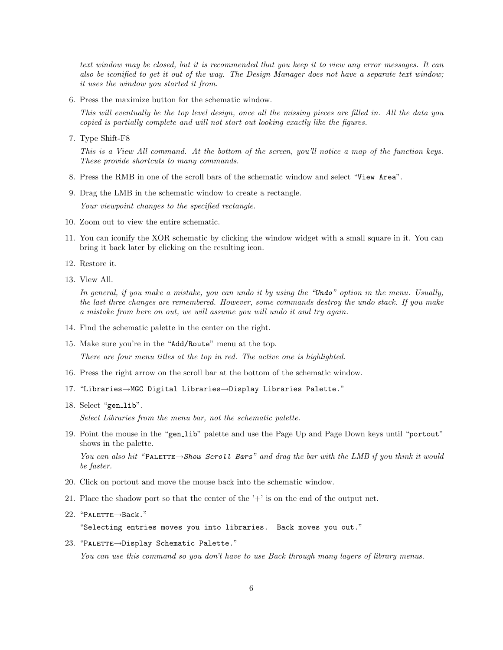text window may be closed, but it is recommended that you keep it to view any error messages. It can also be iconified to get it out of the way. The Design Manager does not have a separate text window; it uses the window you started it from.

6. Press the maximize button for the schematic window.

This will eventually be the top level design, once all the missing pieces are filled in. All the data you copied is partially complete and will not start out looking exactly like the figures.

7. Type Shift-F8

This is a View All command. At the bottom of the screen, you'll notice a map of the function keys. These provide shortcuts to many commands.

- 8. Press the RMB in one of the scroll bars of the schematic window and select "View Area".
- 9. Drag the LMB in the schematic window to create a rectangle.

Your viewpoint changes to the specified rectangle.

- 10. Zoom out to view the entire schematic.
- 11. You can iconify the XOR schematic by clicking the window widget with a small square in it. You can bring it back later by clicking on the resulting icon.
- 12. Restore it.
- 13. View All.

In general, if you make a mistake, you can undo it by using the "Undo" option in the menu. Usually, the last three changes are remembered. However, some commands destroy the undo stack. If you make a mistake from here on out, we will assume you will undo it and try again.

- 14. Find the schematic palette in the center on the right.
- 15. Make sure you're in the "Add/Route" menu at the top.

There are four menu titles at the top in red. The active one is highlighted.

- 16. Press the right arrow on the scroll bar at the bottom of the schematic window.
- 17. "Libraries→MGC Digital Libraries→Display Libraries Palette."
- 18. Select "gen\_lib".

Select Libraries from the menu bar, not the schematic palette.

19. Point the mouse in the "gen lib" palette and use the Page Up and Page Down keys until "portout" shows in the palette.

You can also hit "PALETTE $\rightarrow$ Show Scroll Bars" and drag the bar with the LMB if you think it would be faster.

- 20. Click on portout and move the mouse back into the schematic window.
- 21. Place the shadow port so that the center of the  $'$ +' is on the end of the output net.
- 22. "PALETTE→Back."

"Selecting entries moves you into libraries. Back moves you out."

23. "Palette→Display Schematic Palette."

You can use this command so you don't have to use Back through many layers of library menus.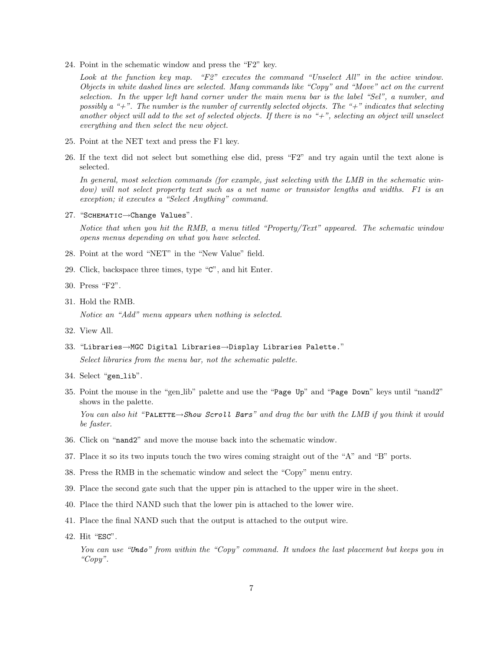24. Point in the schematic window and press the "F2" key.

Look at the function key map. "F2" executes the command "Unselect All" in the active window. Objects in white dashed lines are selected. Many commands like "Copy" and "Move" act on the current selection. In the upper left hand corner under the main menu bar is the label "Sel", a number, and possibly a "+". The number is the number of currently selected objects. The "+" indicates that selecting another object will add to the set of selected objects. If there is no " $+$ ", selecting an object will unselect everything and then select the new object.

- 25. Point at the NET text and press the F1 key.
- 26. If the text did not select but something else did, press "F2" and try again until the text alone is selected.

In general, most selection commands (for example, just selecting with the LMB in the schematic window) will not select property text such as a net name or transistor lengths and widths. F1 is an exception; it executes a "Select Anything" command.

27. "SCHEMATIC→Change Values".

Notice that when you hit the RMB, a menu titled "Property/Text" appeared. The schematic window opens menus depending on what you have selected.

- 28. Point at the word "NET" in the "New Value" field.
- 29. Click, backspace three times, type "C", and hit Enter.
- 30. Press "F2".
- 31. Hold the RMB.

Notice an "Add" menu appears when nothing is selected.

- 32. View All.
- 33. "Libraries→MGC Digital Libraries→Display Libraries Palette." Select libraries from the menu bar, not the schematic palette.
- 34. Select "gen\_lib".
- 35. Point the mouse in the "gen lib" palette and use the "Page Up" and "Page Down" keys until "nand2" shows in the palette.

You can also hit "PALETTE→Show Scroll Bars" and drag the bar with the LMB if you think it would be faster.

- 36. Click on "nand2" and move the mouse back into the schematic window.
- 37. Place it so its two inputs touch the two wires coming straight out of the "A" and "B" ports.
- 38. Press the RMB in the schematic window and select the "Copy" menu entry.
- 39. Place the second gate such that the upper pin is attached to the upper wire in the sheet.
- 40. Place the third NAND such that the lower pin is attached to the lower wire.
- 41. Place the final NAND such that the output is attached to the output wire.
- 42. Hit "ESC".

You can use "Undo" from within the "Copy" command. It undoes the last placement but keeps you in "Copy".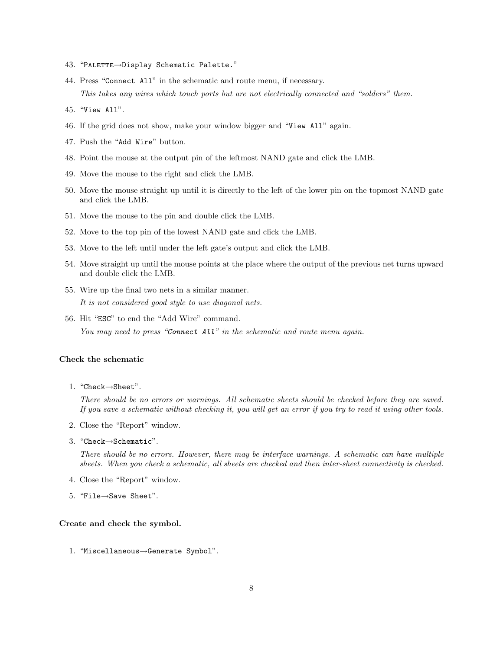- 43. "Palette→Display Schematic Palette."
- 44. Press "Connect All" in the schematic and route menu, if necessary. This takes any wires which touch ports but are not electrically connected and "solders" them.
- 45. "View All".
- 46. If the grid does not show, make your window bigger and "View All" again.
- 47. Push the "Add Wire" button.
- 48. Point the mouse at the output pin of the leftmost NAND gate and click the LMB.
- 49. Move the mouse to the right and click the LMB.
- 50. Move the mouse straight up until it is directly to the left of the lower pin on the topmost NAND gate and click the LMB.
- 51. Move the mouse to the pin and double click the LMB.
- 52. Move to the top pin of the lowest NAND gate and click the LMB.
- 53. Move to the left until under the left gate's output and click the LMB.
- 54. Move straight up until the mouse points at the place where the output of the previous net turns upward and double click the LMB.
- 55. Wire up the final two nets in a similar manner. It is not considered good style to use diagonal nets.
- 56. Hit "ESC" to end the "Add Wire" command. You may need to press "Connect All" in the schematic and route menu again.

#### Check the schematic

1. "Check→Sheet".

There should be no errors or warnings. All schematic sheets should be checked before they are saved. If you save a schematic without checking it, you will get an error if you try to read it using other tools.

- 2. Close the "Report" window.
- 3. "Check→Schematic".

There should be no errors. However, there may be interface warnings. A schematic can have multiple sheets. When you check a schematic, all sheets are checked and then inter-sheet connectivity is checked.

- 4. Close the "Report" window.
- 5. "File→Save Sheet".

## Create and check the symbol.

1. "Miscellaneous→Generate Symbol".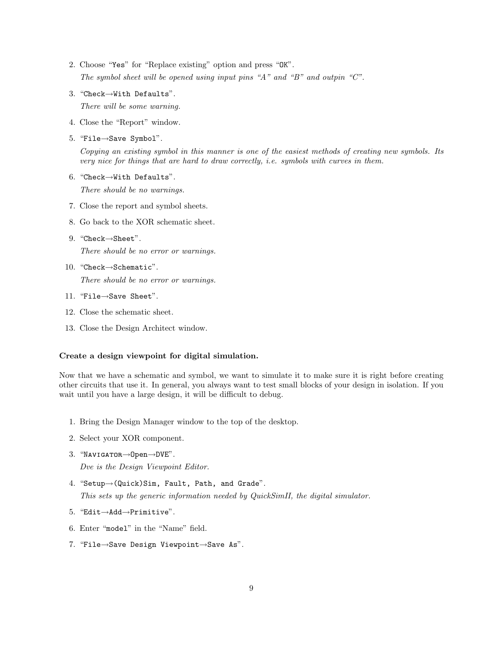- 2. Choose "Yes" for "Replace existing" option and press "OK". The symbol sheet will be opened using input pins "A" and "B" and outpin "C".
- 3. "Check→With Defaults". There will be some warning.
- 4. Close the "Report" window.
- 5. "File→Save Symbol".

Copying an existing symbol in this manner is one of the easiest methods of creating new symbols. Its very nice for things that are hard to draw correctly, i.e. symbols with curves in them.

6. "Check→With Defaults".

There should be no warnings.

- 7. Close the report and symbol sheets.
- 8. Go back to the XOR schematic sheet.
- 9. "Check→Sheet".

There should be no error or warnings.

10. "Check→Schematic".

There should be no error or warnings.

- 11. "File→Save Sheet".
- 12. Close the schematic sheet.
- 13. Close the Design Architect window.

## Create a design viewpoint for digital simulation.

Now that we have a schematic and symbol, we want to simulate it to make sure it is right before creating other circuits that use it. In general, you always want to test small blocks of your design in isolation. If you wait until you have a large design, it will be difficult to debug.

- 1. Bring the Design Manager window to the top of the desktop.
- 2. Select your XOR component.
- 3. "Navigator→Open→DVE".

Dve is the Design Viewpoint Editor.

4. "Setup→(Quick)Sim, Fault, Path, and Grade".

This sets up the generic information needed by QuickSimII, the digital simulator.

- 5. "Edit→Add→Primitive".
- 6. Enter "model" in the "Name" field.
- 7. "File→Save Design Viewpoint→Save As".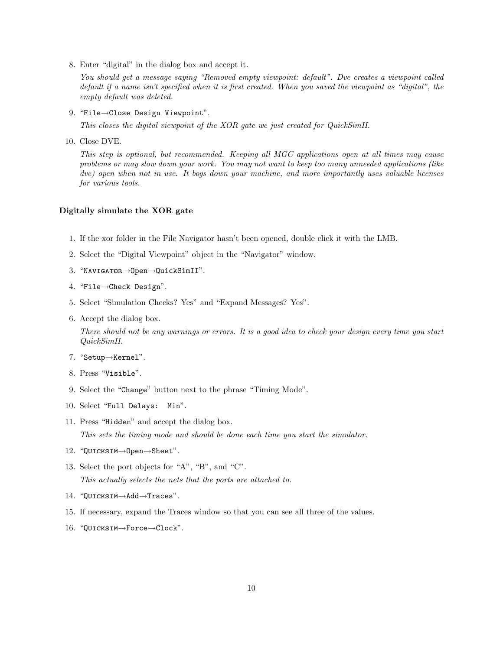8. Enter "digital" in the dialog box and accept it.

You should get a message saying "Removed empty viewpoint: default". Dve creates a viewpoint called default if a name isn't specified when it is first created. When you saved the viewpoint as "digital", the empty default was deleted.

9. "File→Close Design Viewpoint".

This closes the digital viewpoint of the XOR gate we just created for QuickSimII.

10. Close DVE.

This step is optional, but recommended. Keeping all MGC applications open at all times may cause problems or may slow down your work. You may not want to keep too many unneeded applications (like dve) open when not in use. It bogs down your machine, and more importantly uses valuable licenses for various tools.

### Digitally simulate the XOR gate

- 1. If the xor folder in the File Navigator hasn't been opened, double click it with the LMB.
- 2. Select the "Digital Viewpoint" object in the "Navigator" window.
- 3. "Navigator→Open→QuickSimII".
- 4. "File→Check Design".
- 5. Select "Simulation Checks? Yes" and "Expand Messages? Yes".
- 6. Accept the dialog box.

There should not be any warnings or errors. It is a good idea to check your design every time you start QuickSimII.

- 7. "Setup→Kernel".
- 8. Press "Visible".
- 9. Select the "Change" button next to the phrase "Timing Mode".
- 10. Select "Full Delays: Min".
- 11. Press "Hidden" and accept the dialog box. This sets the timing mode and should be done each time you start the simulator.
- 12. "Quicksim→Open→Sheet".
- 13. Select the port objects for "A", "B", and "C". This actually selects the nets that the ports are attached to.
- 14. "Quicksim→Add→Traces".
- 15. If necessary, expand the Traces window so that you can see all three of the values.
- 16. "Quicksim→Force→Clock".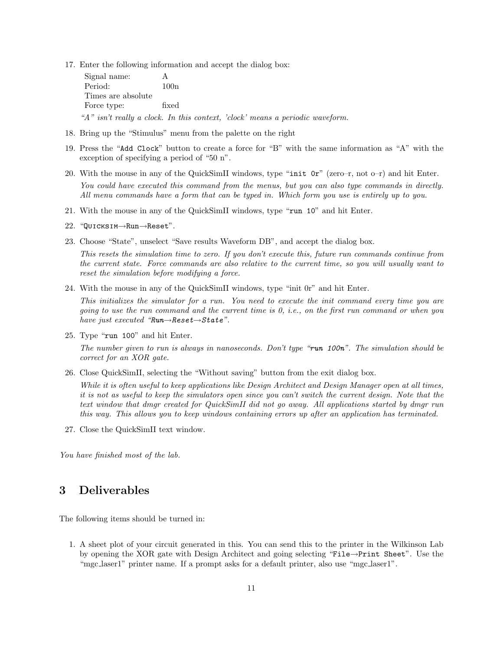17. Enter the following information and accept the dialog box:

Signal name: A Period: 100n Times are absolute Force type: fixed "A" isn't really a clock. In this context, 'clock' means a periodic waveform.

- 18. Bring up the "Stimulus" menu from the palette on the right
- 19. Press the "Add Clock" button to create a force for "B" with the same information as "A" with the exception of specifying a period of "50 n".
- 20. With the mouse in any of the QuickSimII windows, type "init 0r" (zero–r, not o–r) and hit Enter. You could have executed this command from the menus, but you can also type commands in directly. All menu commands have a form that can be typed in. Which form you use is entirely up to you.
- 21. With the mouse in any of the QuickSimII windows, type "run 10" and hit Enter.
- 22. "Quicksim→Run→Reset".
- 23. Choose "State", unselect "Save results Waveform DB", and accept the dialog box.

This resets the simulation time to zero. If you don't execute this, future run commands continue from the current state. Force commands are also relative to the current time, so you will usually want to reset the simulation before modifying a force.

24. With the mouse in any of the QuickSimII windows, type "init 0r" and hit Enter.

This initializes the simulator for a run. You need to execute the init command every time you are going to use the run command and the current time is 0, i.e., on the first run command or when you have just executed " $Run \rightarrow Reset \rightarrow State$ ".

25. Type "run 100" and hit Enter.

The number given to run is always in nanoseconds. Don't type "run 100n". The simulation should be correct for an XOR gate.

26. Close QuickSimII, selecting the "Without saving" button from the exit dialog box.

While it is often useful to keep applications like Design Architect and Design Manager open at all times, it is not as useful to keep the simulators open since you can't switch the current design. Note that the text window that dmgr created for QuickSimII did not go away. All applications started by dmgr run this way. This allows you to keep windows containing errors up after an application has terminated.

27. Close the QuickSimII text window.

You have finished most of the lab.

## 3 Deliverables

The following items should be turned in:

1. A sheet plot of your circuit generated in this. You can send this to the printer in the Wilkinson Lab by opening the XOR gate with Design Architect and going selecting "File→Print Sheet". Use the "mgc laser1" printer name. If a prompt asks for a default printer, also use "mgc laser1".